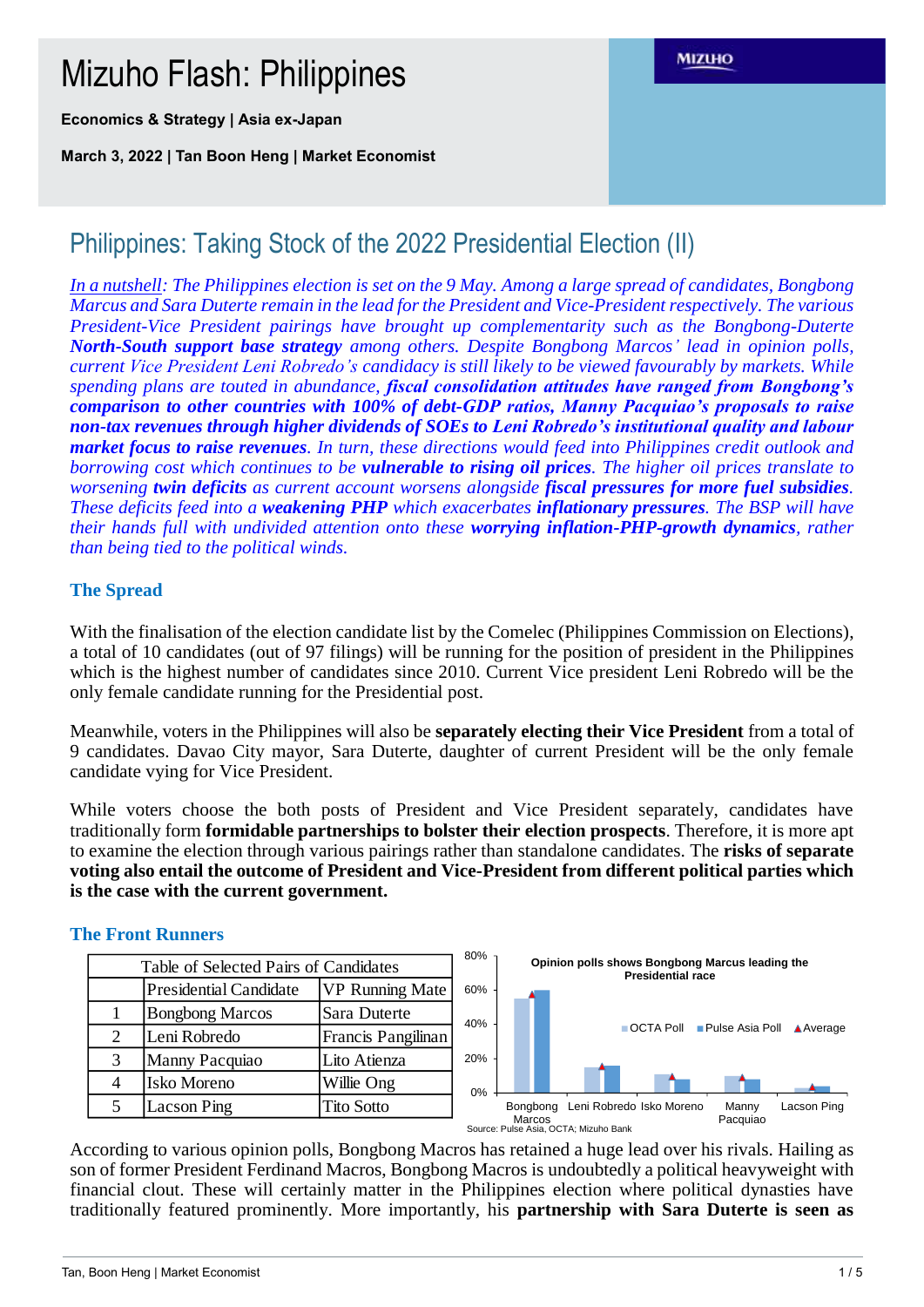# Mizuho Flash: Philippines

**Economics & Strategy | Asia ex-Japan**

**March 3, 2022 | Tan Boon Heng | Market Economist**

# Philippines: Taking Stock of the 2022 Presidential Election (II)

*In a nutshell: The Philippines election is set on the 9 May. Among a large spread of candidates, Bongbong Marcus and Sara Duterte remain in the lead for the President and Vice-Presidentrespectively. The various President-Vice President pairings have brought up complementarity such as the Bongbong-Duterte North-South support base strategy among others. Despite Bongbong Marcos' lead in opinion polls, current Vice President Leni Robredo's candidacy is still likely to be viewed favourably by markets. While spending plans are touted in abundance, fiscal consolidation attitudes have ranged from Bongbong's comparison to other countries with 100% of debt-GDP ratios, Manny Pacquiao's proposals to raise non-tax revenues through higher dividends of SOEs to Leni Robredo's institutional quality and labour market focus to raise revenues. In turn, these directions would feed into Philippines credit outlook and borrowing cost which continues to be vulnerable to rising oil prices. The higher oil prices translate to worsening twin deficits as current account worsens alongside fiscal pressures for more fuel subsidies. These deficits feed into a weakening PHP which exacerbates inflationary pressures. The BSP will have their hands full with undivided attention onto these worrying inflation-PHP-growth dynamics, rather than being tied to the political winds.* 

### **The Spread**

With the finalisation of the election candidate list by the Comelec (Philippines Commission on Elections), a total of 10 candidates (out of 97 filings) will be running for the position of president in the Philippines which is the highest number of candidates since 2010. Current Vice president Leni Robredo will be the only female candidate running for the Presidential post.

Meanwhile, voters in the Philippines will also be **separately electing their Vice President** from a total of 9 candidates. Davao City mayor, Sara Duterte, daughter of current President will be the only female candidate vying for Vice President.

While voters choose the both posts of President and Vice President separately, candidates have traditionally form **formidable partnerships to bolster their election prospects**. Therefore, it is more apt to examine the election through various pairings rather than standalone candidates. The **risks of separate voting also entail the outcome of President and Vice-President from different political parties which is the case with the current government.**

| Table of Selected Pairs of Candidates |                                                         |                    |  |  |  |  |
|---------------------------------------|---------------------------------------------------------|--------------------|--|--|--|--|
|                                       | <b>VP Running Mate</b><br><b>Presidential Candidate</b> |                    |  |  |  |  |
|                                       | <b>Bongbong Marcos</b>                                  | Sara Duterte       |  |  |  |  |
| $\mathcal{D}_{\mathcal{L}}$           | Leni Robredo                                            | Francis Pangilinan |  |  |  |  |
| $\mathcal{R}$                         | Manny Pacquiao                                          | Lito Atienza       |  |  |  |  |
|                                       | Isko Moreno                                             | Willie Ong         |  |  |  |  |
| 5                                     | Lacson Ping                                             | <b>Tito Sotto</b>  |  |  |  |  |



According to various opinion polls, Bongbong Macros has retained a huge lead over his rivals. Hailing as son of former President Ferdinand Macros, Bongbong Macros is undoubtedly a political heavyweight with financial clout. These will certainly matter in the Philippines election where political dynasties have traditionally featured prominently. More importantly, his **partnership with Sara Duterte is seen as** 

**The Front Runners**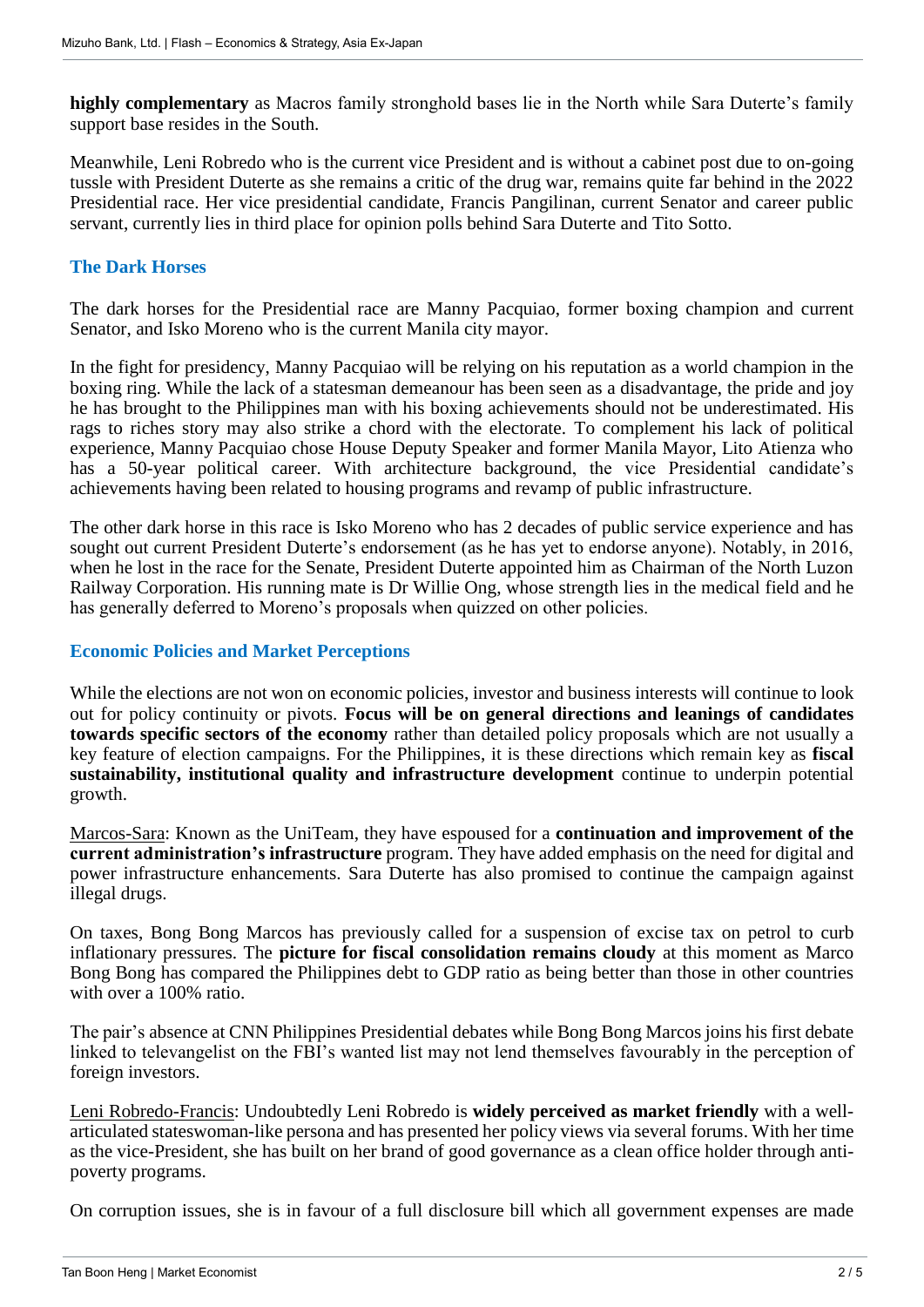**highly complementary** as Macros family stronghold bases lie in the North while Sara Duterte's family support base resides in the South.

Meanwhile, Leni Robredo who is the current vice President and is without a cabinet post due to on-going tussle with President Duterte as she remains a critic of the drug war, remains quite far behind in the 2022 Presidential race. Her vice presidential candidate, Francis Pangilinan, current Senator and career public servant, currently lies in third place for opinion polls behind Sara Duterte and Tito Sotto.

### **The Dark Horses**

The dark horses for the Presidential race are Manny Pacquiao, former boxing champion and current Senator, and Isko Moreno who is the current Manila city mayor.

In the fight for presidency, Manny Pacquiao will be relying on his reputation as a world champion in the boxing ring. While the lack of a statesman demeanour has been seen as a disadvantage, the pride and joy he has brought to the Philippines man with his boxing achievements should not be underestimated. His rags to riches story may also strike a chord with the electorate. To complement his lack of political experience, Manny Pacquiao chose House Deputy Speaker and former Manila Mayor, Lito Atienza who has a 50-year political career. With architecture background, the vice Presidential candidate's achievements having been related to housing programs and revamp of public infrastructure.

The other dark horse in this race is Isko Moreno who has 2 decades of public service experience and has sought out current President Duterte's endorsement (as he has yet to endorse anyone). Notably, in 2016, when he lost in the race for the Senate, President Duterte appointed him as Chairman of the North Luzon Railway Corporation. His running mate is Dr Willie Ong, whose strength lies in the medical field and he has generally deferred to Moreno's proposals when quizzed on other policies.

### **Economic Policies and Market Perceptions**

While the elections are not won on economic policies, investor and business interests will continue to look out for policy continuity or pivots. **Focus will be on general directions and leanings of candidates towards specific sectors of the economy** rather than detailed policy proposals which are not usually a key feature of election campaigns. For the Philippines, it is these directions which remain key as **fiscal sustainability, institutional quality and infrastructure development** continue to underpin potential growth.

Marcos-Sara: Known as the UniTeam, they have espoused for a **continuation and improvement of the current administration's infrastructure** program. They have added emphasis on the need for digital and power infrastructure enhancements. Sara Duterte has also promised to continue the campaign against illegal drugs.

On taxes, Bong Bong Marcos has previously called for a suspension of excise tax on petrol to curb inflationary pressures. The **picture for fiscal consolidation remains cloudy** at this moment as Marco Bong Bong has compared the Philippines debt to GDP ratio as being better than those in other countries with over a 100% ratio.

The pair's absence at CNN Philippines Presidential debates while Bong Bong Marcos joins his first debate linked to televangelist on the FBI's wanted list may not lend themselves favourably in the perception of foreign investors.

Leni Robredo-Francis: Undoubtedly Leni Robredo is **widely perceived as market friendly** with a wellarticulated stateswoman-like persona and has presented her policy views via several forums. With her time as the vice-President, she has built on her brand of good governance as a clean office holder through antipoverty programs.

On corruption issues, she is in favour of a full disclosure bill which all government expenses are made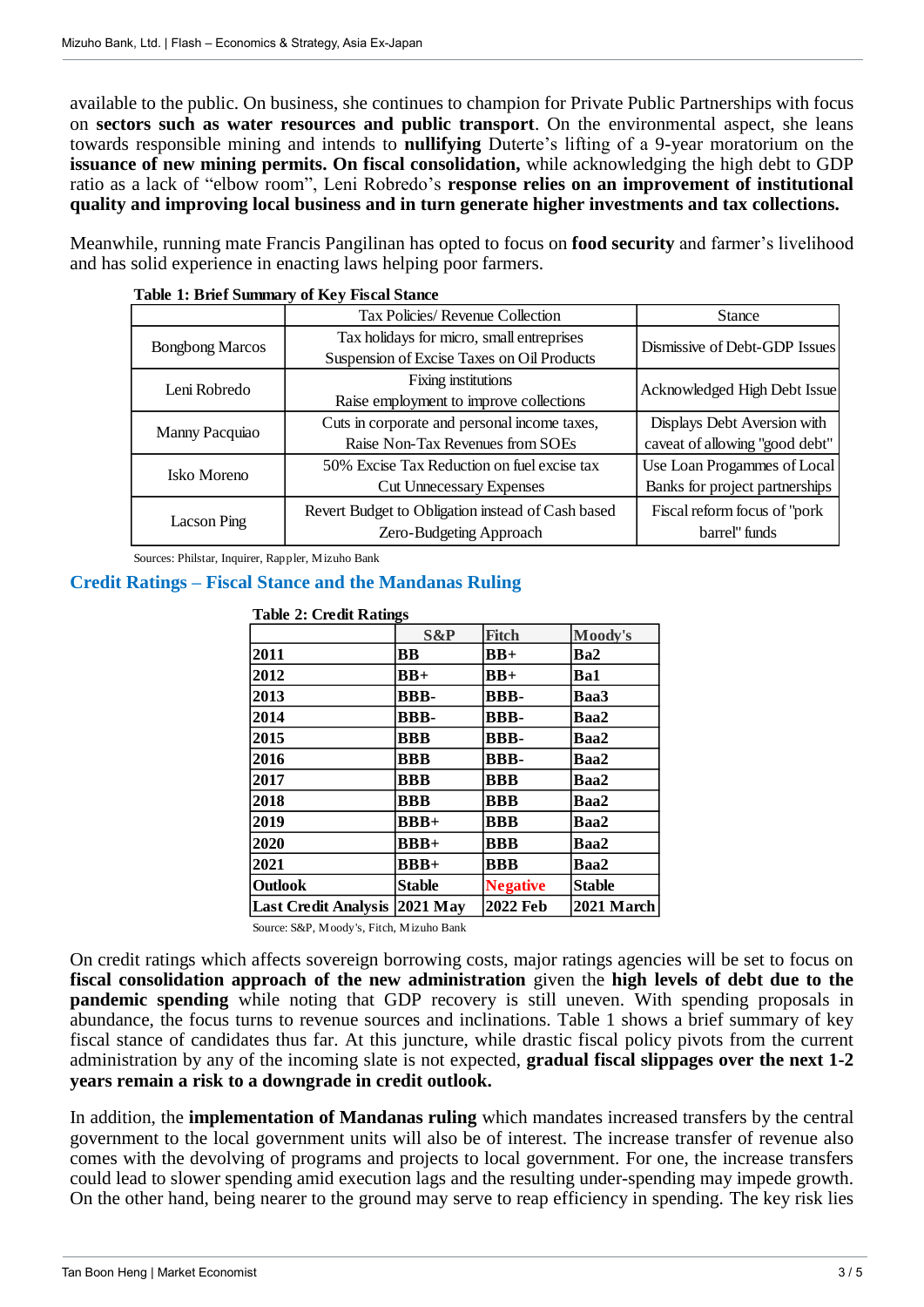available to the public. On business, she continues to champion for Private Public Partnerships with focus on **sectors such as water resources and public transport**. On the environmental aspect, she leans towards responsible mining and intends to **nullifying** Duterte's lifting of a 9-year moratorium on the **issuance of new mining permits. On fiscal consolidation,** while acknowledging the high debt to GDP ratio as a lack of "elbow room", Leni Robredo's **response relies on an improvement of institutional quality and improving local business and in turn generate higher investments and tax collections.**

Meanwhile, running mate Francis Pangilinan has opted to focus on **food security** and farmer's livelihood and has solid experience in enacting laws helping poor farmers.

|  |                                                   |         | <b>Table 1: Brief Summary of Key Fiscal Stance</b>                        |                         |                             |                                |                                                                                                                                                                                                                                                                                                                                                                                                                                                                                                                                                                                                                                                 |  |
|--|---------------------------------------------------|---------|---------------------------------------------------------------------------|-------------------------|-----------------------------|--------------------------------|-------------------------------------------------------------------------------------------------------------------------------------------------------------------------------------------------------------------------------------------------------------------------------------------------------------------------------------------------------------------------------------------------------------------------------------------------------------------------------------------------------------------------------------------------------------------------------------------------------------------------------------------------|--|
|  |                                                   |         | Tax Policies/ Revenue Collection                                          |                         |                             | <b>Stance</b>                  |                                                                                                                                                                                                                                                                                                                                                                                                                                                                                                                                                                                                                                                 |  |
|  | <b>Bongbong Marcos</b>                            |         | Tax holidays for micro, small entreprises                                 |                         |                             | Dismissive of Debt-GDP Issues  |                                                                                                                                                                                                                                                                                                                                                                                                                                                                                                                                                                                                                                                 |  |
|  |                                                   |         | Suspension of Excise Taxes on Oil Products                                |                         |                             |                                |                                                                                                                                                                                                                                                                                                                                                                                                                                                                                                                                                                                                                                                 |  |
|  | Leni Robredo<br>Manny Pacquiao<br>Isko Moreno     |         | Fixing institutions                                                       |                         |                             | Acknowledged High Debt Issue   |                                                                                                                                                                                                                                                                                                                                                                                                                                                                                                                                                                                                                                                 |  |
|  |                                                   |         | Raise employment to improve collections                                   |                         |                             |                                |                                                                                                                                                                                                                                                                                                                                                                                                                                                                                                                                                                                                                                                 |  |
|  |                                                   |         | Cuts in corporate and personal income taxes,                              |                         |                             |                                | Displays Debt Aversion with                                                                                                                                                                                                                                                                                                                                                                                                                                                                                                                                                                                                                     |  |
|  |                                                   |         | Raise Non-Tax Revenues from SOEs                                          |                         |                             |                                | caveat of allowing "good debt"                                                                                                                                                                                                                                                                                                                                                                                                                                                                                                                                                                                                                  |  |
|  |                                                   |         | 50% Excise Tax Reduction on fuel excise tax                               |                         |                             |                                | Use Loan Progammes of Local                                                                                                                                                                                                                                                                                                                                                                                                                                                                                                                                                                                                                     |  |
|  |                                                   |         | <b>Cut Unnecessary Expenses</b>                                           |                         |                             | Banks for project partnerships |                                                                                                                                                                                                                                                                                                                                                                                                                                                                                                                                                                                                                                                 |  |
|  | Lacson Ping                                       |         | Revert Budget to Obligation instead of Cash based                         |                         |                             | Fiscal reform focus of "pork   |                                                                                                                                                                                                                                                                                                                                                                                                                                                                                                                                                                                                                                                 |  |
|  |                                                   |         |                                                                           | Zero-Budgeting Approach |                             |                                | barrel" funds                                                                                                                                                                                                                                                                                                                                                                                                                                                                                                                                                                                                                                   |  |
|  | Sources: Philstar, Inquirer, Rappler, Mizuho Bank |         |                                                                           |                         |                             |                                |                                                                                                                                                                                                                                                                                                                                                                                                                                                                                                                                                                                                                                                 |  |
|  |                                                   |         | <b>Credit Ratings – Fiscal Stance and the Mandanas Ruling</b>             |                         |                             |                                |                                                                                                                                                                                                                                                                                                                                                                                                                                                                                                                                                                                                                                                 |  |
|  |                                                   |         | <b>Table 2: Credit Ratings</b>                                            |                         |                             |                                |                                                                                                                                                                                                                                                                                                                                                                                                                                                                                                                                                                                                                                                 |  |
|  |                                                   |         |                                                                           | S&P                     | <b>Fitch</b>                | Moody's                        |                                                                                                                                                                                                                                                                                                                                                                                                                                                                                                                                                                                                                                                 |  |
|  |                                                   | 2011    |                                                                           | <b>BB</b>               | $BB+$                       | Ba2                            |                                                                                                                                                                                                                                                                                                                                                                                                                                                                                                                                                                                                                                                 |  |
|  |                                                   | 2012    |                                                                           | $BB+$                   | $BB+$                       | Ba1                            |                                                                                                                                                                                                                                                                                                                                                                                                                                                                                                                                                                                                                                                 |  |
|  |                                                   | 2013    |                                                                           | <b>BBB-</b>             | <b>BBB-</b>                 | Baa3                           |                                                                                                                                                                                                                                                                                                                                                                                                                                                                                                                                                                                                                                                 |  |
|  |                                                   | 2014    |                                                                           | <b>BBB-</b>             | <b>BBB-</b>                 | Baa2                           |                                                                                                                                                                                                                                                                                                                                                                                                                                                                                                                                                                                                                                                 |  |
|  |                                                   | 2015    |                                                                           | <b>BBB</b>              | <b>BBB-</b>                 | Baa2                           |                                                                                                                                                                                                                                                                                                                                                                                                                                                                                                                                                                                                                                                 |  |
|  |                                                   | 2016    |                                                                           | <b>BBB</b>              | <b>BBB-</b>                 | Baa2                           |                                                                                                                                                                                                                                                                                                                                                                                                                                                                                                                                                                                                                                                 |  |
|  |                                                   | 2017    |                                                                           | <b>BBB</b>              | <b>BBB</b>                  | Baa2                           |                                                                                                                                                                                                                                                                                                                                                                                                                                                                                                                                                                                                                                                 |  |
|  |                                                   | 2018    |                                                                           | <b>BBB</b>              | <b>BBB</b>                  | Baa2                           |                                                                                                                                                                                                                                                                                                                                                                                                                                                                                                                                                                                                                                                 |  |
|  |                                                   | 2019    |                                                                           | $BBB+$                  | <b>BBB</b>                  | Baa2                           |                                                                                                                                                                                                                                                                                                                                                                                                                                                                                                                                                                                                                                                 |  |
|  |                                                   | 2020    |                                                                           | $BBB+$                  | <b>BBB</b>                  | Baa2                           |                                                                                                                                                                                                                                                                                                                                                                                                                                                                                                                                                                                                                                                 |  |
|  |                                                   | 2021    |                                                                           | $BBB+$                  | <b>BBB</b>                  | Baa2                           |                                                                                                                                                                                                                                                                                                                                                                                                                                                                                                                                                                                                                                                 |  |
|  |                                                   | Outlook |                                                                           | <b>Stable</b>           | <b>Negative</b><br>2022 Feb | <b>Stable</b>                  |                                                                                                                                                                                                                                                                                                                                                                                                                                                                                                                                                                                                                                                 |  |
|  |                                                   |         | Last Credit Analysis 2021 May<br>Source: S&P, Moody's, Fitch, Mizuho Bank |                         |                             | 2021 March                     |                                                                                                                                                                                                                                                                                                                                                                                                                                                                                                                                                                                                                                                 |  |
|  |                                                   |         | years remain a risk to a downgrade in credit outlook.                     |                         |                             |                                | On credit ratings which affects sovereign borrowing costs, major ratings agencies will be set to focus on<br>fiscal consolidation approach of the new administration given the high levels of debt due to the<br>pandemic spending while noting that GDP recovery is still uneven. With spending proposals in<br>abundance, the focus turns to revenue sources and inclinations. Table 1 shows a brief summary of key<br>fiscal stance of candidates thus far. At this juncture, while drastic fiscal policy pivots from the current<br>administration by any of the incoming slate is not expected, gradual fiscal slippages over the next 1-2 |  |
|  |                                                   |         |                                                                           |                         |                             |                                | In addition, the <b>implementation of Mandanas ruling</b> which mandates increased transfers by the central<br>government to the local government units will also be of interest. The increase transfer of revenue also<br>comes with the devolving of programs and projects to local government. For one, the increase transfers<br>could lead to slower spending amid execution lags and the resulting under-spending may impede growth.<br>On the other hand, being nearer to the ground may serve to reap efficiency in spending. The key risk lies                                                                                         |  |

### **Credit Ratings – Fiscal Stance and the Mandanas Ruling**

| <b>Table 2: Credit Ratings</b> |             |              |         |  |  |  |
|--------------------------------|-------------|--------------|---------|--|--|--|
|                                | S&P         | <b>Fitch</b> | Moody's |  |  |  |
| 2011                           | <b>BB</b>   | $BB+$        | Ba2     |  |  |  |
| 2012                           | $BB+$       | $BB+$        | Ba1     |  |  |  |
| 2013                           | <b>BBB-</b> | <b>BBB-</b>  | Baa3    |  |  |  |
| 2014                           | <b>BBB-</b> | <b>BBB-</b>  | Baa2    |  |  |  |
| 2015                           | <b>BBB</b>  | <b>BBB-</b>  | Baa2    |  |  |  |
| 2016                           | <b>BBB</b>  | <b>BBB-</b>  | Baa2    |  |  |  |
| 2017                           | <b>BBB</b>  | <b>BBB</b>   | Baa2    |  |  |  |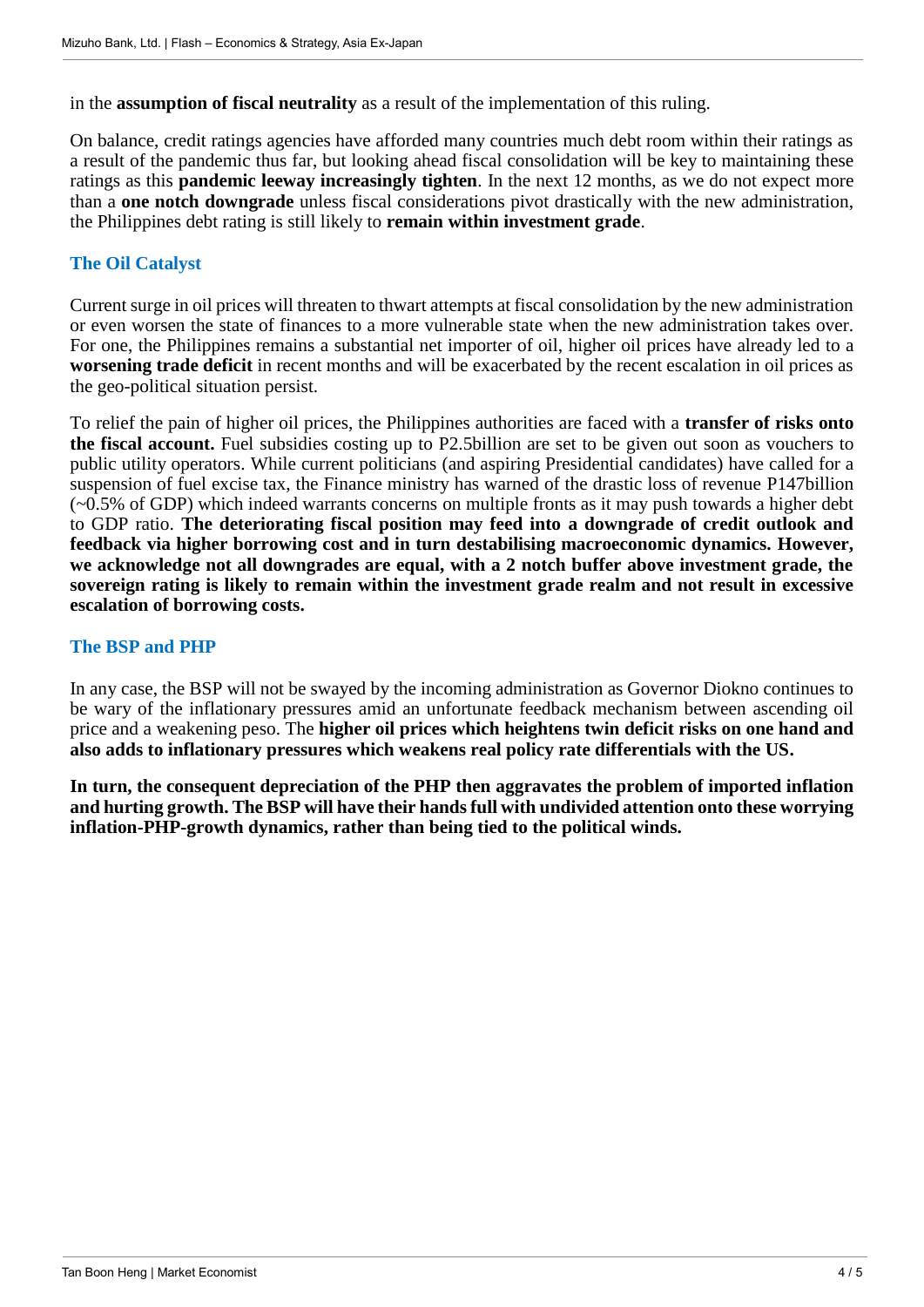in the **assumption of fiscal neutrality** as a result of the implementation of this ruling.

On balance, credit ratings agencies have afforded many countries much debt room within their ratings as a result of the pandemic thus far, but looking ahead fiscal consolidation will be key to maintaining these ratings as this **pandemic leeway increasingly tighten**. In the next 12 months, as we do not expect more than a **one notch downgrade** unless fiscal considerations pivot drastically with the new administration, the Philippines debt rating is still likely to **remain within investment grade**.

## **The Oil Catalyst**

Current surge in oil prices will threaten to thwart attempts at fiscal consolidation by the new administration or even worsen the state of finances to a more vulnerable state when the new administration takes over. For one, the Philippines remains a substantial net importer of oil, higher oil prices have already led to a **worsening trade deficit** in recent months and will be exacerbated by the recent escalation in oil prices as the geo-political situation persist.

To relief the pain of higher oil prices, the Philippines authorities are faced with a **transfer of risks onto the fiscal account.** Fuel subsidies costing up to P2.5billion are set to be given out soon as vouchers to public utility operators. While current politicians (and aspiring Presidential candidates) have called for a suspension of fuel excise tax, the Finance ministry has warned of the drastic loss of revenue P147billion  $(-0.5\%$  of GDP) which indeed warrants concerns on multiple fronts as it may push towards a higher debt to GDP ratio. **The deteriorating fiscal position may feed into a downgrade of credit outlook and feedback via higher borrowing cost and in turn destabilising macroeconomic dynamics. However, we acknowledge not all downgrades are equal, with a 2 notch buffer above investment grade, the sovereign rating is likely to remain within the investment grade realm and not result in excessive escalation of borrowing costs.** 

## **The BSP and PHP**

In any case, the BSP will not be swayed by the incoming administration as Governor Diokno continues to be wary of the inflationary pressures amid an unfortunate feedback mechanism between ascending oil price and a weakening peso. The **higher oil prices which heightens twin deficit risks on one hand and also adds to inflationary pressures which weakens real policy rate differentials with the US.** 

**In turn, the consequent depreciation of the PHP then aggravates the problem of imported inflation and hurting growth. The BSP will have their hands full with undivided attention onto these worrying inflation-PHP-growth dynamics, rather than being tied to the political winds.**